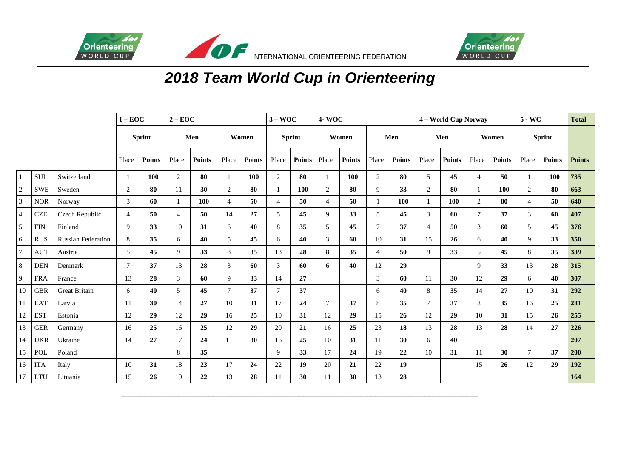



## *2018 Team World Cup in Orienteering*

|            |            | $1 - EOC$                 |                | $2 - EOC$     |                |        |                | $3 - WOC$     |                | <b>4-WOC</b>  |                |               |                | 4 - World Cup Norway |                |               |                | $5 - WC$      |                | <b>Total</b>  |               |
|------------|------------|---------------------------|----------------|---------------|----------------|--------|----------------|---------------|----------------|---------------|----------------|---------------|----------------|----------------------|----------------|---------------|----------------|---------------|----------------|---------------|---------------|
|            |            | <b>Sprint</b>             |                | Men           |                | Women  |                | <b>Sprint</b> |                | Women         |                | Men           |                | Men                  |                | Women         |                | <b>Sprint</b> |                |               |               |
|            |            |                           | Place          | <b>Points</b> | Place          | Points | Place          | <b>Points</b> | Place          | <b>Points</b> | Place          | <b>Points</b> | Place          | <b>Points</b>        | Place          | <b>Points</b> | Place          | <b>Points</b> | Place          | <b>Points</b> | <b>Points</b> |
|            | <b>SUI</b> | Switzerland               |                | 100           | $\overline{2}$ | 80     |                | 100           | 2              | 80            | -1             | 100           | 2              | 80                   | 5              | 45            | $\overline{4}$ | 50            | 1              | 100           | 735           |
| $\sqrt{2}$ | <b>SWE</b> | Sweden                    | $\sqrt{2}$     | 80            | 11             | 30     | 2              | 80            |                | 100           | $\overline{2}$ | 80            | 9              | 33                   | $\overline{2}$ | 80            |                | 100           | $\overline{2}$ | 80            | 663           |
| 3          | <b>NOR</b> | Norway                    | 3              | 60            |                | 100    | $\overline{4}$ | 50            | $\overline{4}$ | 50            | $\overline{4}$ | 50            |                | 100                  |                | 100           | 2              | 80            | $\overline{4}$ | 50            | 640           |
| 4          | <b>CZE</b> | Czech Republic            | $\overline{4}$ | 50            | 4              | 50     | 14             | 27            | 5              | 45            | 9              | 33            | 5              | 45                   | 3              | 60            | $\overline{7}$ | 37            | $\mathfrak{Z}$ | 60            | 407           |
| 5          | <b>FIN</b> | Finland                   | 9              | 33            | 10             | 31     | 6              | 40            | 8              | 35            | 5              | 45            | $\overline{7}$ | 37                   | $\overline{4}$ | 50            | 3              | 60            | 5              | 45            | 376           |
| 6          | <b>RUS</b> | <b>Russian Federation</b> | $\,8\,$        | 35            | 6              | 40     | 5              | 45            | 6              | 40            | 3              | 60            | 10             | 31                   | 15             | 26            | 6              | 40            | 9              | 33            | 350           |
| 7          | <b>AUT</b> | Austria                   | 5              | 45            | 9              | 33     | 8              | 35            | 13             | 28            | 8              | 35            | $\overline{4}$ | 50                   | 9              | 33            | 5              | 45            | 8              | 35            | 339           |
| 8          | <b>DEN</b> | Denmark                   | $\tau$         | 37            | 13             | 28     | 3              | 60            | 3              | 60            | 6              | 40            | 12             | 29                   |                |               | $\mathbf{Q}$   | 33            | 13             | 28            | 315           |
| 9          | <b>FRA</b> | France                    | 13             | 28            | 3              | 60     | 9              | 33            | 14             | 27            |                |               | 3              | 60                   | 11             | 30            | 12             | 29            | 6              | 40            | 307           |
| 10         | <b>GBR</b> | Great Britain             | 6              | 40            | 5              | 45     | $\tau$         | 37            | $\tau$         | 37            |                |               | 6              | 40                   | 8              | 35            | 14             | 27            | 10             | 31            | 292           |
| 11         | LAT        | Latvia                    | 11             | 30            | 14             | 27     | 10             | 31            | 17             | 24            | $\tau$         | 37            | 8              | 35                   | $\tau$         | 37            | 8              | 35            | 16             | 25            | 281           |
| 12         | <b>EST</b> | Estonia                   | 12             | 29            | 12             | 29     | 16             | 25            | 10             | 31            | 12             | 29            | 15             | 26                   | 12             | 29            | 10             | 31            | 15             | 26            | 255           |
| 13         | <b>GER</b> | Germany                   | 16             | 25            | 16             | 25     | 12             | 29            | 20             | 21            | 16             | 25            | 23             | 18                   | 13             | 28            | 13             | 28            | 14             | 27            | 226           |
| 14         | <b>UKR</b> | Ukraine                   | 14             | 27            | 17             | 24     | 11             | 30            | 16             | 25            | 10             | 31            | 11             | 30                   | 6              | 40            |                |               |                |               | 207           |
| 15         | POL        | Poland                    |                |               | 8              | 35     |                |               | 9              | 33            | 17             | 24            | 19             | 22                   | 10             | 31            | 11             | 30            | $\tau$         | 37            | 200           |
| 16         | <b>ITA</b> | Italy                     | 10             | 31            | 18             | 23     | 17             | 24            | 22             | 19            | 20             | 21            | 22             | 19                   |                |               | 15             | 26            | 12             | 29            | 192           |
| 17         | LTU        | Lituania                  | 15             | 26            | 19             | 22     | 13             | 28            | 11             | 30            | 11             | 30            | 13             | 28                   |                |               |                |               |                |               | 164           |

\_\_\_\_\_\_\_\_\_\_\_\_\_\_\_\_\_\_\_\_\_\_\_\_\_\_\_\_\_\_\_\_\_\_\_\_\_\_\_\_\_\_\_\_\_\_\_\_\_\_\_\_\_\_\_\_\_\_\_\_\_\_\_\_\_\_\_\_\_\_\_\_\_\_\_\_\_\_\_\_\_\_\_\_\_\_\_\_\_\_\_\_\_\_